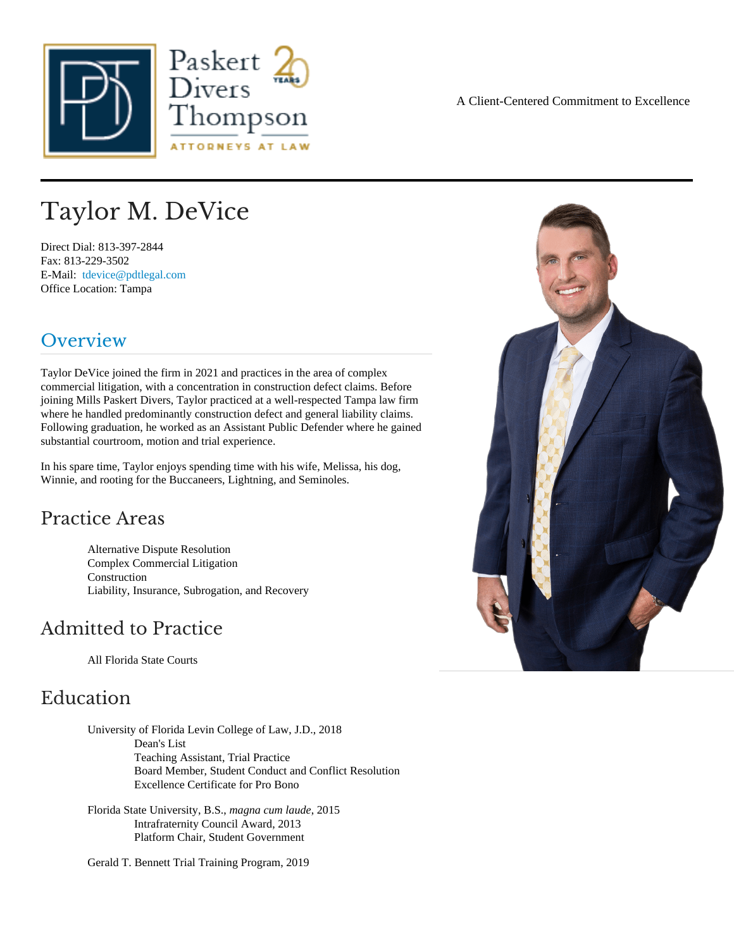# Taylor M. DeVice

Direct Dial: 813-397-2844 Fax: 813-229-3502 E-Mail: [tdevice@pdtlegal.co](mailto:tdevice@pdtlegal.com )m Office Location: Tampa

### Overview

Taylor DeVicejoined the firm in 2021 and practices in the area of complex commercial litigation, with a concentration in construction defect claims bre joining Mills PaskerDivers, Taylor practiced at a well-respected Tampa law firm where he handled predominantly construction defect and general liability claims. Following graduation, he worked as an Assistant Public Defender where he gained substantial courtroom, motion and trial experience.

In his spare time, Taylor enjoys spending time with his wife, Melissa, his dog, Winnie, and rooting for the Buccaneers, Lightning, and Seminoles.

### Practice Areas

Alternative Dispute Resolution Complex Commercial Litigation **Construction** Liability, Insurance, Subrogation, and Recovery

### Admitted to Practice

All Florida State Courts

#### Education

University of Florida Levin College of Law, J.D., 2018 Dean's List Teaching Assistant, Trial Practice Board Member, Student Conduct and Conflict Resolution Excellence Certificate for Pro Bono

Florida State University, B.Smagnacum laude 2015 Intrafraternity Council Award, 2013 Platform Chair, Student Government

Gerald T. Bennett Trial Training Program, 2019